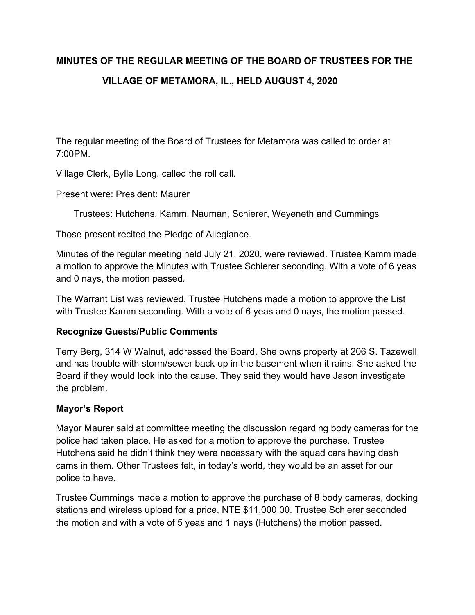# **MINUTES OF THE REGULAR MEETING OF THE BOARD OF TRUSTEES FOR THE VILLAGE OF METAMORA, IL., HELD AUGUST 4, 2020**

The regular meeting of the Board of Trustees for Metamora was called to order at 7:00PM.

Village Clerk, Bylle Long, called the roll call.

Present were: President: Maurer

Trustees: Hutchens, Kamm, Nauman, Schierer, Weyeneth and Cummings

Those present recited the Pledge of Allegiance.

Minutes of the regular meeting held July 21, 2020, were reviewed. Trustee Kamm made a motion to approve the Minutes with Trustee Schierer seconding. With a vote of 6 yeas and 0 nays, the motion passed.

The Warrant List was reviewed. Trustee Hutchens made a motion to approve the List with Trustee Kamm seconding. With a vote of 6 yeas and 0 nays, the motion passed.

# **Recognize Guests/Public Comments**

Terry Berg, 314 W Walnut, addressed the Board. She owns property at 206 S. Tazewell and has trouble with storm/sewer back-up in the basement when it rains. She asked the Board if they would look into the cause. They said they would have Jason investigate the problem.

# **Mayor's Report**

Mayor Maurer said at committee meeting the discussion regarding body cameras for the police had taken place. He asked for a motion to approve the purchase. Trustee Hutchens said he didn't think they were necessary with the squad cars having dash cams in them. Other Trustees felt, in today's world, they would be an asset for our police to have.

Trustee Cummings made a motion to approve the purchase of 8 body cameras, docking stations and wireless upload for a price, NTE \$11,000.00. Trustee Schierer seconded the motion and with a vote of 5 yeas and 1 nays (Hutchens) the motion passed.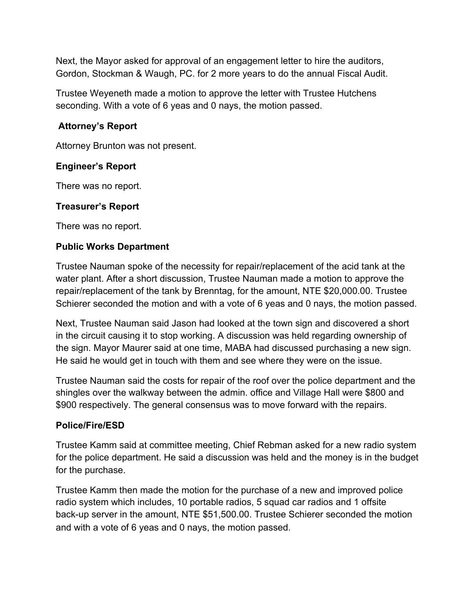Next, the Mayor asked for approval of an engagement letter to hire the auditors, Gordon, Stockman & Waugh, PC. for 2 more years to do the annual Fiscal Audit.

Trustee Weyeneth made a motion to approve the letter with Trustee Hutchens seconding. With a vote of 6 yeas and 0 nays, the motion passed.

## **Attorney's Report**

Attorney Brunton was not present.

## **Engineer's Report**

There was no report.

#### **Treasurer's Report**

There was no report.

## **Public Works Department**

Trustee Nauman spoke of the necessity for repair/replacement of the acid tank at the water plant. After a short discussion, Trustee Nauman made a motion to approve the repair/replacement of the tank by Brenntag, for the amount, NTE \$20,000.00. Trustee Schierer seconded the motion and with a vote of 6 yeas and 0 nays, the motion passed.

Next, Trustee Nauman said Jason had looked at the town sign and discovered a short in the circuit causing it to stop working. A discussion was held regarding ownership of the sign. Mayor Maurer said at one time, MABA had discussed purchasing a new sign. He said he would get in touch with them and see where they were on the issue.

Trustee Nauman said the costs for repair of the roof over the police department and the shingles over the walkway between the admin. office and Village Hall were \$800 and \$900 respectively. The general consensus was to move forward with the repairs.

#### **Police/Fire/ESD**

Trustee Kamm said at committee meeting, Chief Rebman asked for a new radio system for the police department. He said a discussion was held and the money is in the budget for the purchase.

Trustee Kamm then made the motion for the purchase of a new and improved police radio system which includes, 10 portable radios, 5 squad car radios and 1 offsite back-up server in the amount, NTE \$51,500.00. Trustee Schierer seconded the motion and with a vote of 6 yeas and 0 nays, the motion passed.